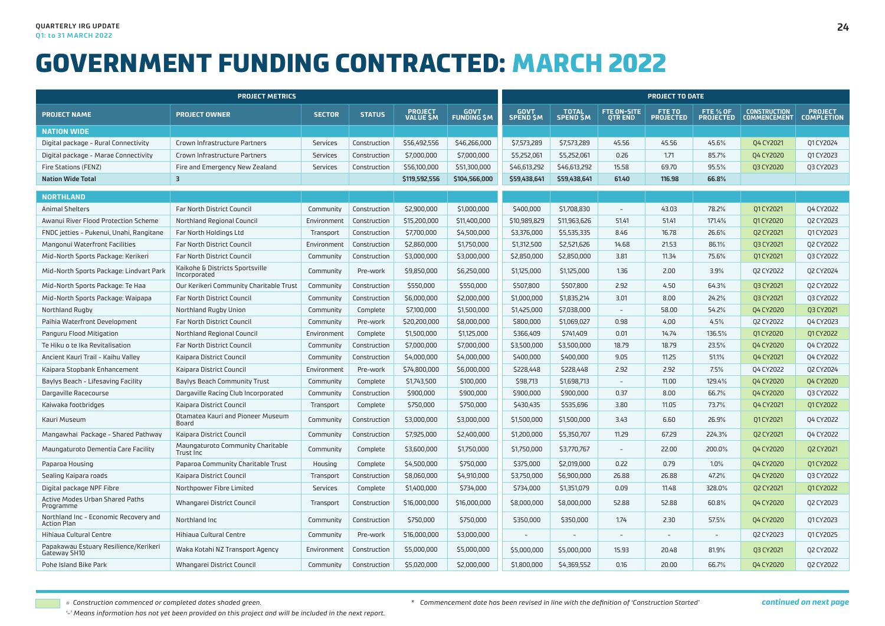|                                                             | <b>PROJECT METRICS</b>                          |               |               |                                    |                                   |                                 |                                  | <b>PROJECT TO DATE</b>               |                                   |                              |                                            |                                     |  |  |  |
|-------------------------------------------------------------|-------------------------------------------------|---------------|---------------|------------------------------------|-----------------------------------|---------------------------------|----------------------------------|--------------------------------------|-----------------------------------|------------------------------|--------------------------------------------|-------------------------------------|--|--|--|
| <b>PROJECT NAME</b>                                         | <b>PROJECT OWNER</b>                            | <b>SECTOR</b> | <b>STATUS</b> | <b>PROJECT</b><br><b>VALUE \$M</b> | <b>GOVT</b><br><b>FUNDING \$M</b> | <b>GOVT</b><br><b>SPEND \$M</b> | <b>TOTAL</b><br><b>SPEND \$M</b> | <b>FTE ON-SITE</b><br><b>QTR END</b> | <b>FTE TO</b><br><b>PROJECTED</b> | FTE % OF<br><b>PROJECTED</b> | <b>CONSTRUCTION</b><br><b>COMMENCEMENT</b> | <b>PROJECT</b><br><b>COMPLETION</b> |  |  |  |
| <b>NATION WIDE</b>                                          |                                                 |               |               |                                    |                                   |                                 |                                  |                                      |                                   |                              |                                            |                                     |  |  |  |
| Digital package - Rural Connectivity                        | Crown Infrastructure Partners                   | Services      | Construction  | \$56,492,556                       | \$46,266,000                      | \$7,573,289                     | \$7,573,289                      | 45.56                                | 45.56                             | 45.6%                        | Q4 CY2021                                  | 01 CY 2024                          |  |  |  |
| Digital package - Marae Connectivity                        | Crown Infrastructure Partners                   | Services      | Construction  | \$7,000,000                        | \$7,000,000                       | \$5,252,061                     | \$5,252,061                      | 0.26                                 | 1.71                              | 85.7%                        | Q4 CY2020                                  | 01 CY2023                           |  |  |  |
| Fire Stations (FENZ)                                        | Fire and Emergency New Zealand                  | Services      | Construction  | \$56,100,000                       | \$51,300,000                      | \$46,613,292                    | \$46,613,292                     | 15.58                                | 69.70                             | 95.5%                        | <b>Q3 CY2020</b>                           | Q3 CY2023                           |  |  |  |
| <b>Nation Wide Total</b>                                    | $\overline{\mathbf{3}}$                         |               |               | \$119,592,556                      | \$104,566,000                     | \$59,438,641                    | \$59,438,641                     | 61.40                                | 116.98                            | 66.8%                        |                                            |                                     |  |  |  |
| <b>NORTHLAND</b>                                            |                                                 |               |               |                                    |                                   |                                 |                                  |                                      |                                   |                              |                                            |                                     |  |  |  |
| <b>Animal Shelters</b>                                      | <b>Far North District Council</b>               | Community     | Construction  | \$2,900,000                        | \$1,000,000                       | \$400,000                       | \$1,708,830                      | $\sim$                               | 43.03                             | 78.2%                        | 01 CY 2021                                 | Q4 CY2022                           |  |  |  |
| Awanui River Flood Protection Scheme                        | Northland Regional Council                      | Environment   | Construction  | \$15,200,000                       | \$11,400,000                      | \$10,989,829                    | \$11,963,626                     | 51.41                                | 51.41                             | 171.4%                       | Q1 CY2020                                  | Q2 CY2023                           |  |  |  |
| FNDC jetties - Pukenui, Unahi, Rangitane                    | Far North Holdings Ltd                          | Transport     | Construction  | \$7,700,000                        | \$4,500,000                       | \$3,376,000                     | \$5,535,335                      | 8.46                                 | 16.78                             | 26.6%                        | Q2 CY2021                                  | Q1 CY2023                           |  |  |  |
| Mangonui Waterfront Facilities                              | Far North District Council                      | Environment   | Construction  | \$2,860,000                        | \$1,750,000                       | \$1,312,500                     | \$2,521,626                      | 14.68                                | 21.53                             | 86.1%                        | <b>Q3 CY2021</b>                           | Q2 CY2022                           |  |  |  |
| Mid-North Sports Package: Kerikeri                          | Far North District Council                      | Community     | Construction  | \$3,000,000                        | \$3,000,000                       | \$2,850,000                     | \$2,850,000                      | 3.81                                 | 11.34                             | 75.6%                        | 01 CY 2021                                 | Q3 CY2022                           |  |  |  |
| Mid-North Sports Package: Lindvart Park                     | Kaikohe & Districts Sportsville<br>Incorporated | Community     | Pre-work      | \$9,850,000                        | \$6,250,000                       | \$1,125,000                     | \$1,125,000                      | 1.36                                 | 2.00                              | 3.9%                         | Q2 CY2022                                  | Q2 CY2024                           |  |  |  |
| Mid-North Sports Package: Te Haa                            | Our Kerikeri Community Charitable Trust         | Community     | Construction  | \$550,000                          | \$550,000                         | \$507,800                       | \$507,800                        | 2.92                                 | 4.50                              | 64.3%                        | 03 CY2021                                  | 02 CY2022                           |  |  |  |
| Mid-North Sports Package: Waipapa                           | Far North District Council                      | Community     | Construction  | \$6,000,000                        | \$2,000,000                       | \$1,000,000                     | \$1,835,214                      | 3.01                                 | 8.00                              | 24.2%                        | <b>Q3 CY2021</b>                           | Q3 CY2022                           |  |  |  |
| Northland Rugby                                             | Northland Rugby Union                           | Community     | Complete      | \$7,100,000                        | \$1,500,000                       | \$1,425,000                     | \$7,038,000                      |                                      | 58.00                             | 54.2%                        | Q4 CY2020                                  | Q3 CY2021                           |  |  |  |
| Paihia Waterfront Development                               | Far North District Council                      | Community     | Pre-work      | \$20,200,000                       | \$8,000,000                       | \$800,000                       | \$1,069,027                      | 0.98                                 | 4.00                              | 4.5%                         | Q2 CY2022                                  | 04 CY2023                           |  |  |  |
| Panguru Flood Mitigation                                    | Northland Regional Council                      | Environment   | Complete      | \$1,500,000                        | \$1,125,000                       | \$366,409                       | \$741,409                        | 0.01                                 | 14.74                             | 136.5%                       | 01 CY2020                                  | 01 CY 2022                          |  |  |  |
| Te Hiku o te Ika Revitalisation                             | Far North District Council                      | Community     | Construction  | \$7,000,000                        | \$7,000,000                       | \$3,500,000                     | \$3,500,000                      | 18.79                                | 18.79                             | 23.5%                        | Q4 CY2020                                  | 04 CY2022                           |  |  |  |
| Ancient Kauri Trail - Kaihu Valley                          | Kaipara District Council                        | Community     | Construction  | \$4,000,000                        | \$4,000,000                       | \$400,000                       | \$400,000                        | 9.05                                 | 11.25                             | 51.1%                        | Q4 CY2021                                  | Q4 CY2022                           |  |  |  |
| Kaipara Stopbank Enhancement                                | Kaipara District Council                        | Environment   | Pre-work      | \$74,800,000                       | \$6,000,000                       | \$228,448                       | \$228,448                        | 2.92                                 | 2.92                              | 7.5%                         | Q4 CY2022                                  | Q2 CY2024                           |  |  |  |
| Baylys Beach - Lifesaving Facility                          | <b>Baylys Beach Community Trust</b>             | Community     | Complete      | \$1,743,500                        | \$100,000                         | \$98,713                        | \$1,698,713                      |                                      | 11.00                             | 129.4%                       | 04 CY2020                                  | 04 CY2020                           |  |  |  |
| Dargaville Racecourse                                       | Dargaville Racing Club Incorporated             | Community     | Construction  | \$900,000                          | \$900,000                         | \$900,000                       | \$900,000                        | 0.37                                 | 8.00                              | 66.7%                        | Q4 CY2020                                  | Q3 CY2022                           |  |  |  |
| Kaiwaka footbridges                                         | Kaipara District Council                        | Transport     | Complete      | \$750,000                          | \$750,000                         | \$430,435                       | \$535,696                        | 3.80                                 | 11.05                             | 73.7%                        | Q4 CY2021                                  | 01 CY 2022                          |  |  |  |
| Kauri Museum                                                | Otamatea Kauri and Pioneer Museum<br>Board      | Community     | Construction  | \$3,000,000                        | \$3,000,000                       | \$1,500,000                     | \$1,500,000                      | 3.43                                 | 6.60                              | 26.9%                        | 01 CY 2021                                 | 04 CY2022                           |  |  |  |
| Mangawhai Package - Shared Pathway                          | Kaipara District Council                        | Community     | Construction  | \$7,925,000                        | \$2,400,000                       | \$1,200,000                     | \$5,350,707                      | 11.29                                | 67.29                             | 224.3%                       | <b>Q2 CY2021</b>                           | 04 CY2022                           |  |  |  |
| Maungaturoto Dementia Care Facility                         | Maungaturoto Community Charitable<br>Trust Inc  | Community     | Complete      | \$3,600,000                        | \$1,750,000                       | \$1,750,000                     | \$3,770,767                      |                                      | 22.00                             | 200.0%                       | Q4 CY2020                                  | Q2 CY2021                           |  |  |  |
| Paparoa Housing                                             | Paparoa Community Charitable Trust              | Housing       | Complete      | \$4,500,000                        | \$750,000                         | \$375,000                       | \$2,019,000                      | 0.22                                 | 0.79                              | 1.0%                         | Q4 CY2020                                  | 01 CY 2022                          |  |  |  |
| Sealing Kaipara roads                                       | Kaipara District Council                        | Transport     | Construction  | \$8,060,000                        | \$4,910,000                       | \$3,750,000                     | \$6,900,000                      | 26.88                                | 26.88                             | 47.2%                        | Q4 CY2020                                  | Q3 CY2022                           |  |  |  |
| Digital package NPF Fibre                                   | Northpower Fibre Limited                        | Services      | Complete      | \$1,400,000                        | \$734,000                         | \$734,000                       | \$1,351,079                      | 0.09                                 | 11.48                             | 328.0%                       | Q2 CY2021                                  | Q1 CY 2022                          |  |  |  |
| Active Modes Urban Shared Paths<br>Programme                | Whangarei District Council                      | Transport     | Construction  | \$16,000,000                       | \$16,000,000                      | \$8,000,000                     | \$8,000,000                      | 52.88                                | 52.88                             | 60.8%                        | Q4 CY2020                                  | Q2 CY2023                           |  |  |  |
| Northland Inc - Economic Recovery and<br><b>Action Plan</b> | Northland Inc                                   | Community     | Construction  | \$750,000                          | \$750,000                         | \$350,000                       | \$350,000                        | 1.74                                 | 2.30                              | 57.5%                        | Q4 CY2020                                  | 01 CY 2023                          |  |  |  |
| Hihiaua Cultural Centre                                     | Hihiaua Cultural Centre                         | Community     | Pre-work      | \$16,000,000                       | \$3,000,000                       | $\overline{a}$                  | $\overline{\phantom{a}}$         |                                      | $\equiv$                          | $\overline{a}$               | Q2 CY2023                                  | 01 CY 2025                          |  |  |  |
| Papakawau Estuary Resilience/Kerikeri<br>Gateway SH10       | Waka Kotahi NZ Transport Agency                 | Environment   | Construction  | \$5,000,000                        | \$5,000,000                       | \$5,000,000                     | \$5,000,000                      | 15.93                                | 20.48                             | 81.9%                        | 03 CY2021                                  | Q2 CY2022                           |  |  |  |
| Pohe Island Bike Park                                       | Whangarei District Council                      | Community     | Construction  | \$5,020,000                        | \$2,000,000                       | \$1,800,000                     | \$4,369,552                      | 0.16                                 | 20.00                             | 66.7%                        | 04 CY2020                                  | 02 CY2022                           |  |  |  |

*= Construction commenced or completed dates shaded green.*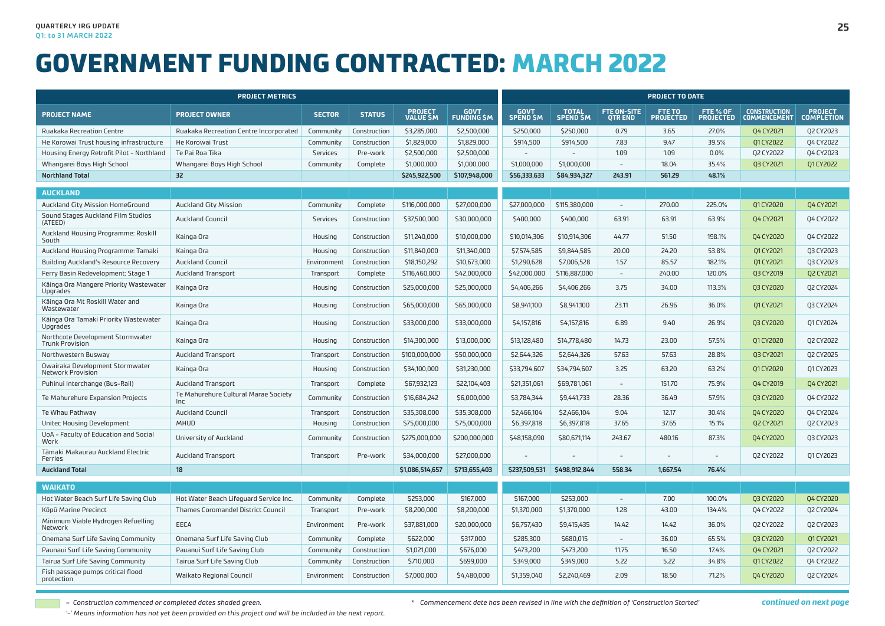| <b>PROJECT METRICS</b>                                      |                                              |               |               |                              |                                  |                   | <b>PROJECT TO DATE</b>          |                                     |                                   |                              |                                            |                                     |  |  |
|-------------------------------------------------------------|----------------------------------------------|---------------|---------------|------------------------------|----------------------------------|-------------------|---------------------------------|-------------------------------------|-----------------------------------|------------------------------|--------------------------------------------|-------------------------------------|--|--|
| <b>PROJECT NAME</b>                                         | <b>PROJECT OWNER</b>                         | <b>SECTOR</b> | <b>STATUS</b> | <b>PROJECT<br/>VALUE \$M</b> | <b>GOVT</b><br><b>FUNDING SM</b> | GOVT<br>SPEND \$M | <b>TOTAL</b><br><b>SPEND SM</b> | <b>FTE ON-SITE</b><br><b>OTREND</b> | <b>FTE TO</b><br><b>PROJECTED</b> | FTE % OF<br><b>PROJECTED</b> | <b>CONSTRUCTION</b><br><b>COMMENCEMENT</b> | <b>PROJECT</b><br><b>COMPLETION</b> |  |  |
| Ruakaka Recreation Centre                                   | Ruakaka Recreation Centre Incorporated       | Community     | Construction  | \$3,285,000                  | \$2,500,000                      | \$250,000         | \$250,000                       | 0.79                                | 3.65                              | 27.0%                        | <b>Q4 CY2021</b>                           | Q2 CY2023                           |  |  |
| He Korowai Trust housing infrastructure                     | He Korowai Trust                             | Community     | Construction  | \$1,829,000                  | \$1,829,000                      | \$914,500         | \$914,500                       | 7.83                                | 9.47                              | 39.5%                        | 01 CY 2022                                 | 04 CY2022                           |  |  |
| Housing Energy Retrofit Pilot - Northland                   | Te Pai Roa Tika                              | Services      | Pre-work      | \$2,500,000                  | \$2,500,000                      | $\overline{a}$    | $\overline{\phantom{a}}$        | 1.09                                | 1.09                              | 0.0%                         | Q2 CY2022                                  | Q4 CY2023                           |  |  |
| Whangarei Boys High School                                  | Whangarei Boys High School                   | Community     | Complete      | \$1,000,000                  | \$1,000,000                      | \$1,000,000       | \$1,000,000                     | $\sim$                              | 18.04                             | 35.4%                        | <b>Q3 CY2021</b>                           | 01 CY 2022                          |  |  |
| <b>Northland Total</b>                                      | 32                                           |               |               | \$245,922,500                | \$107,948,000                    | \$56,333,633      | \$84,934,327                    | 243.91                              | 561.29                            | 48.1%                        |                                            |                                     |  |  |
| <b>AUCKLAND</b>                                             |                                              |               |               |                              |                                  |                   |                                 |                                     |                                   |                              |                                            |                                     |  |  |
| Auckland City Mission HomeGround                            | <b>Auckland City Mission</b>                 | Community     | Complete      | \$116,000,000                | \$27,000,000                     | \$27,000,000      | \$115,380,000                   | $\sim$                              | 270.00                            | 225.0%                       | 01 CY2020                                  | Q4 CY2021                           |  |  |
| Sound Stages Auckland Film Studios<br>(ATEED)               | <b>Auckland Council</b>                      | Services      | Construction  | \$37,500,000                 | \$30,000,000                     | \$400,000         | \$400,000                       | 63.91                               | 63.91                             | 63.9%                        | Q4 CY2021                                  | 04 CY2022                           |  |  |
| Auckland Housing Programme: Roskill<br>South                | Kainga Ora                                   | Housing       | Construction  | \$11,240,000                 | \$10,000,000                     | \$10,014,306      | \$10,914,306                    | 44.77                               | 51.50                             | 198.1%                       | Q4 CY2020                                  | Q4 CY2022                           |  |  |
| Auckland Housing Programme: Tamaki                          | Kainga Ora                                   | Housing       | Construction  | \$11,840,000                 | \$11,340,000                     | \$7,574,585       | \$9,844,585                     | 20.00                               | 24.20                             | 53.8%                        | 01 CY 2021                                 | Q3 CY2023                           |  |  |
| Building Auckland's Resource Recovery                       | <b>Auckland Council</b>                      | Environment   | Construction  | \$18,150,292                 | \$10,673,000                     | \$1,290,628       | \$7,006,528                     | 1.57                                | 85.57                             | 182.1%                       | 01 CY 2021                                 | Q3 CY2023                           |  |  |
| Ferry Basin Redevelopment: Stage 1                          | <b>Auckland Transport</b>                    | Transport     | Complete      | \$116,460,000                | \$42,000,000                     | \$42,000,000      | \$116,887,000                   | $\sim$                              | 240.00                            | 120.0%                       | <b>Q3 CY2019</b>                           | Q2 CY2021                           |  |  |
| Käinga Ora Mangere Priority Wastewater<br>Upgrades          | Kainga Ora                                   | Housing       | Construction  | \$25,000,000                 | \$25,000,000                     | \$4,406,266       | \$4,406,266                     | 3.75                                | 34.00                             | 113.3%                       | <b>Q3 CY2020</b>                           | Q2 CY2024                           |  |  |
| Käinga Ora Mt Roskill Water and<br>Wastewater               | Kainga Ora                                   | Housing       | Construction  | \$65,000,000                 | \$65,000,000                     | \$8,941,100       | \$8,941,100                     | 23.11                               | 26.96                             | 36.0%                        | Q1 CY 2021                                 | Q3 CY2024                           |  |  |
| Käinga Ora Tamaki Priority Wastewater<br>Upgrades           | Kainga Ora                                   | Housing       | Construction  | \$33,000,000                 | \$33,000,000                     | \$4,157,816       | \$4,157,816                     | 6.89                                | 9.40                              | 26.9%                        | 03 CY2020                                  | 01 CY 2024                          |  |  |
| Northcote Development Stormwater<br><b>Trunk Provision</b>  | Kainga Ora                                   | Housing       | Construction  | \$14,300,000                 | \$13,000,000                     | \$13,128,480      | \$14,778,480                    | 14.73                               | 23.00                             | 57.5%                        | Q1 CY2020                                  | Q2 CY2022                           |  |  |
| Northwestern Busway                                         | <b>Auckland Transport</b>                    | Transport     | Construction  | \$100,000,000                | \$50,000,000                     | \$2,644,326       | \$2,644,326                     | 57.63                               | 57.63                             | 28.8%                        | <b>Q3 CY2021</b>                           | Q2 CY2025                           |  |  |
| Owairaka Development Stormwater<br><b>Network Provision</b> | Kainga Ora                                   | Housing       | Construction  | \$34,100,000                 | \$31,230,000                     | \$33,794,607      | \$34,794,607                    | 3.25                                | 63.20                             | 63.2%                        | 01 CY 2020                                 | 01 CY2023                           |  |  |
| Puhinui Interchange (Bus-Rail)                              | <b>Auckland Transport</b>                    | Transport     | Complete      | \$67,932,123                 | \$22,104,403                     | \$21,351,061      | \$69,781,061                    | $\sim$                              | 151.70                            | 75.9%                        | 04 CY2019                                  | Q4 CY2021                           |  |  |
| Te Mahurehure Expansion Projects                            | Te Mahurehure Cultural Marae Society<br>Inc. | Community     | Construction  | \$16,684,242                 | \$6,000,000                      | \$3,784,344       | \$9,441,733                     | 28.36                               | 36.49                             | 57.9%                        | <b>Q3 CY2020</b>                           | Q4 CY2022                           |  |  |
| Te Whau Pathway                                             | <b>Auckland Council</b>                      | Transport     | Construction  | \$35,308,000                 | \$35,308,000                     | \$2,466,104       | \$2,466,104                     | 9.04                                | 12.17                             | 30.4%                        | 04 CY2020                                  | 04 CY2024                           |  |  |
| Unitec Housing Development                                  | <b>MHUD</b>                                  | Housing       | Construction  | \$75,000,000                 | \$75,000,000                     | \$6,397,818       | \$6,397,818                     | 37.65                               | 37.65                             | 15.1%                        | Q2 CY2021                                  | Q2 CY2023                           |  |  |
| UoA - Faculty of Education and Social<br>Work               | University of Auckland                       | Community     | Construction  | \$275,000,000                | \$200,000,000                    | \$48,158,090      | \$80,671,114                    | 243.67                              | 480.16                            | 87.3%                        | Q4 CY2020                                  | Q3 CY2023                           |  |  |
| Tämaki Makaurau Auckland Electric<br>Ferries                | <b>Auckland Transport</b>                    | Transport     | Pre-work      | \$34,000,000                 | \$27,000,000                     |                   |                                 |                                     |                                   |                              | Q2 CY2022                                  | Q1 CY2023                           |  |  |
| <b>Auckland Total</b>                                       | 18                                           |               |               | \$1,086,514,657              | \$713,655,403                    |                   | \$237,509,531 \$498,912,844     | 558.34                              | 1,667.54                          | 76.4%                        |                                            |                                     |  |  |
| <b>WAIKATO</b>                                              |                                              |               |               |                              |                                  |                   |                                 |                                     |                                   |                              |                                            |                                     |  |  |
| Hot Water Beach Surf Life Saving Club                       | Hot Water Beach Lifeguard Service Inc.       | Community     | Complete      | \$253,000                    | \$167,000                        | \$167,000         | \$253,000                       | $\overline{\phantom{a}}$            | 7.00                              | 100.0%                       | Q3 CY2020                                  | Q4 CY2020                           |  |  |
| Köpü Marine Precinct                                        | Thames Coromandel District Council           | Transport     | Pre-work      | \$8,200,000                  | \$8,200,000                      | \$1,370,000       | \$1,370,000                     | 1.28                                | 43.00                             | 134.4%                       | 04 CY2022                                  | Q2 CY2024                           |  |  |
| Minimum Viable Hydrogen Refuelling<br>Network               | EECA                                         | Environment   | Pre-work      | \$37,881,000                 | \$20,000,000                     | \$6,757,430       | \$9,415,435                     | 14.42                               | 14.42                             | 36.0%                        | Q2 CY2022                                  | Q2 CY2023                           |  |  |
| Onemana Surf Life Saving Community                          | Onemana Surf Life Saving Club                | Community     | Complete      | \$622,000                    | \$317,000                        | \$285,300         | \$680,015                       | $\sim$                              | 36.00                             | 65.5%                        | Q3 CY2020                                  | Q1 CY 2021                          |  |  |
| Paunaui Surf Life Saving Community                          | Pauanui Surf Life Saving Club                | Community     | Construction  | \$1,021,000                  | \$676,000                        | \$473,200         | \$473,200                       | 11.75                               | 16.50                             | 17.4%                        | <b>Q4 CY2021</b>                           | Q2 CY2022                           |  |  |
| Tairua Surf Life Saving Community                           | Tairua Surf Life Saving Club                 | Community     | Construction  | \$710,000                    | \$699,000                        | \$349,000         | \$349,000                       | 5.22                                | 5.22                              | 34.8%                        | Q1 CY2022                                  | Q4 CY2022                           |  |  |
| Fish passage pumps critical flood<br>protection             | <b>Waikato Regional Council</b>              | Environment   | Construction  | \$7,000,000                  | \$4,480,000                      | \$1,359,040       | \$2,240,469                     | 2.09                                | 18.50                             | 71.2%                        | 04 CY2020                                  | Q2 CY2024                           |  |  |

*= Construction commenced or completed dates shaded green.*

*'-' Means information has not yet been provided on this project and will be included in the next report.*

*\* Commencement date has been revised in line with the definition of 'Construction Started'*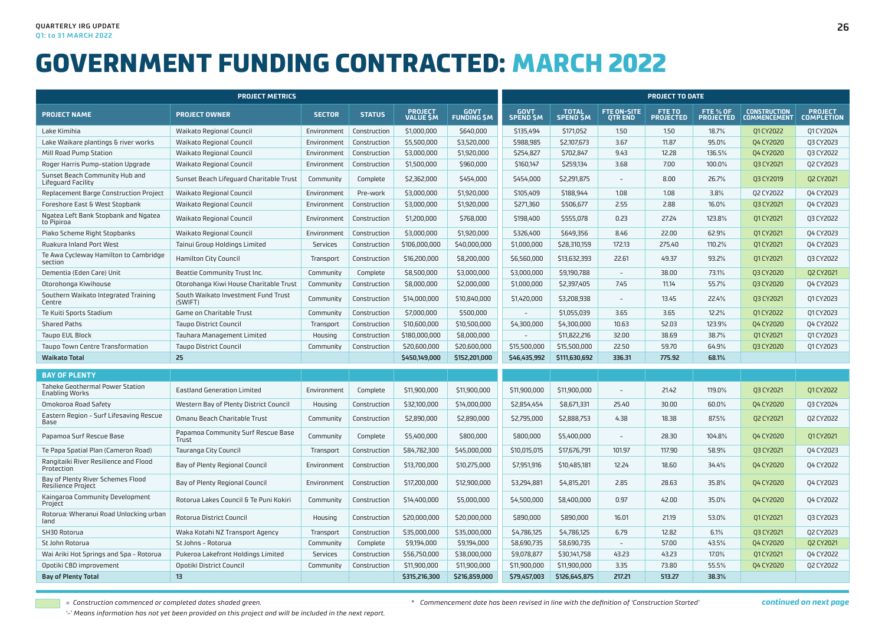| <b>PROJECT METRICS</b>                                  |                                                |               |               |                                   |                                  |                   | <b>PROJECT TO DATE</b>          |                              |                            |                              |                                            |                                     |  |  |
|---------------------------------------------------------|------------------------------------------------|---------------|---------------|-----------------------------------|----------------------------------|-------------------|---------------------------------|------------------------------|----------------------------|------------------------------|--------------------------------------------|-------------------------------------|--|--|
| <b>PROJECT NAME</b>                                     | <b>PROJECT OWNER</b>                           | <b>SECTOR</b> | <b>STATUS</b> | <b>PROJECT</b><br><b>VALUE SM</b> | <b>GOVT</b><br><b>FUNDING SM</b> | GOVT<br>SPEND \$M | <b>TOTAL</b><br><b>SPEND SM</b> | FTE ON-SITE<br><b>OTREND</b> | FTE TO<br><b>PROJECTED</b> | FTE % OF<br><b>PROJECTED</b> | <b>CONSTRUCTION</b><br><b>COMMENCEMENT</b> | <b>PROJECT</b><br><b>COMPLETION</b> |  |  |
| Lake Kimihia                                            | Waikato Regional Council                       | Environment   | Construction  | \$1,000,000                       | \$640,000                        | \$135,494         | \$171,052                       | 1.50                         | 1.50                       | 18.7%                        | 01 CY 2022                                 | 01 CY2024                           |  |  |
| Lake Waikare plantings & river works                    | Waikato Regional Council                       | Environment   | Construction  | \$5,500,000                       | \$3,520,000                      | \$988,985         | \$2,107,673                     | 3.67                         | 11.87                      | 95.0%                        | Q4 CY2020                                  | Q3 CY2023                           |  |  |
| Mill Road Pump Station                                  | Waikato Regional Council                       | Environment   | Construction  | \$3,000,000                       | \$1,920,000                      | \$254,827         | \$702,847                       | 9.43                         | 12.28                      | 136.5%                       | 04 CY2020                                  | Q3 CY2022                           |  |  |
| Roger Harris Pump-station Upgrade                       | Waikato Regional Council                       | Environment   | Construction  | \$1,500,000                       | \$960,000                        | \$160,147         | \$259,134                       | 3.68                         | 7.00                       | 100.0%                       | Q3 CY2021                                  | Q2 CY2023                           |  |  |
| Sunset Beach Community Hub and<br>Lifeguard Facility    | Sunset Beach Lifequard Charitable Trust        | Community     | Complete      | \$2,362,000                       | \$454,000                        | \$454,000         | \$2,291,875                     |                              | 8.00                       | 26.7%                        | <b>Q3 CY2019</b>                           | <b>Q2 CY2021</b>                    |  |  |
| Replacement Barge Construction Project                  | Waikato Regional Council                       | Environment   | Pre-work      | \$3,000,000                       | \$1,920,000                      | \$105,409         | \$188,944                       | 1.08                         | 1.08                       | 3.8%                         | Q2 CY2022                                  | 04 CY2023                           |  |  |
| Foreshore East & West Stopbank                          | Waikato Regional Council                       | Environment   | Construction  | \$3,000,000                       | \$1,920,000                      | \$271,360         | \$506,677                       | 2.55                         | 2.88                       | 16.0%                        | <b>Q3 CY2021</b>                           | 04 CY2023                           |  |  |
| Ngatea Left Bank Stopbank and Ngatea<br>to Pipiroa      | Waikato Regional Council                       | Environment   | Construction  | \$1,200,000                       | \$768,000                        | \$198,400         | \$555,078                       | 0.23                         | 27.24                      | 123.8%                       | 01 CY2021                                  | Q3 CY2022                           |  |  |
| Piako Scheme Right Stopbanks                            | Waikato Regional Council                       | Environment   | Construction  | \$3,000,000                       | \$1,920,000                      | \$326,400         | \$649,356                       | 8.46                         | 22.00                      | 62.9%                        | 01 CY 2021                                 | Q4 CY2023                           |  |  |
| Ruakura Inland Port West                                | Tainui Group Holdings Limited                  | Services      | Construction  | \$106,000,000                     | \$40,000,000                     | \$1,000,000       | \$28,310,159                    | 172.13                       | 275.40                     | 110.2%                       | Q1 CY2021                                  | Q4 CY2023                           |  |  |
| Te Awa Cycleway Hamilton to Cambridge<br>section        | <b>Hamilton City Council</b>                   | Transport     | Construction  | \$16,200,000                      | \$8,200,000                      | \$6,560,000       | \$13,632,393                    | 22.61                        | 49.37                      | 93.2%                        | 01 CY 2021                                 | 03 CY2022                           |  |  |
| Dementia (Eden Care) Unit                               | Beattie Community Trust Inc.                   | Community     | Complete      | \$8,500,000                       | \$3,000,000                      | \$3,000,000       | \$9,190,788                     | $\overline{\phantom{a}}$     | 38.00                      | 73.1%                        | <b>Q3 CY2020</b>                           | <b>Q2 CY2021</b>                    |  |  |
| Otorohonga Kiwihouse                                    | Otorohanga Kiwi House Charitable Trust         | Community     | Construction  | \$8,000,000                       | \$2,000,000                      | \$1,000,000       | \$2,397,405                     | 7.45                         | 11.14                      | 55.7%                        | Q3 CY2020                                  | Q4 CY2023                           |  |  |
| Southern Waikato Integrated Training<br>Centre          | South Waikato Investment Fund Trust<br>(SWIFT) | Community     | Construction  | \$14,000,000                      | \$10,840,000                     | \$1,420,000       | \$3,208,938                     | $\overline{\phantom{a}}$     | 13.45                      | 22.4%                        | <b>Q3 CY2021</b>                           | 01 CY2023                           |  |  |
| Te Kuiti Sports Stadium                                 | Game on Charitable Trust                       | Community     | Construction  | \$7,000,000                       | \$500,000                        | $\sim$            | \$1,055,039                     | 3.65                         | 3.65                       | 12.2%                        | 01 CY2022                                  | 01 CY2023                           |  |  |
| <b>Shared Paths</b>                                     | <b>Taupo District Council</b>                  | Transport     | Construction  | \$10,600,000                      | \$10,500,000                     | \$4,300,000       | \$4,300,000                     | 10.63                        | 52.03                      | 123.9%                       | Q4 CY2020                                  | Q4 CY2022                           |  |  |
| <b>Taupo EUL Block</b>                                  | Tauhara Management Limited                     | Housing       | Construction  | \$180,000,000                     | \$8,000,000                      | $\sim$            | \$11,822,216                    | 32.00                        | 38.69                      | 38.7%                        | Q1 CY2021                                  | Q1 CY2023                           |  |  |
| Taupo Town Centre Transformation                        | <b>Taupo District Council</b>                  | Community     | Construction  | \$20,600,000                      | \$20,600,000                     | \$15,500,000      | \$15,500,000                    | 22.50                        | 59.70                      | 64.9%                        | <b>Q3 CY2020</b>                           | 01 CY2023                           |  |  |
| <b>Waikato Total</b>                                    | 25                                             |               |               | \$450,149,000                     | \$152,201,000                    | \$46,435,992      | \$111,630,692                   | 336.31                       | 775.92                     | 68.1%                        |                                            |                                     |  |  |
| <b>BAY OF PLENTY</b>                                    |                                                |               |               |                                   |                                  |                   |                                 |                              |                            |                              |                                            |                                     |  |  |
| Taheke Geothermal Power Station<br>Enabling Works       | <b>Eastland Generation Limited</b>             | Environment   | Complete      | \$11,900,000                      | \$11,900,000                     | \$11,900,000      | \$11,900,000                    | $\equiv$                     | 21.42                      | 119.0%                       | <b>Q3 CY2021</b>                           | Q1CY2022                            |  |  |
| Omokoroa Road Safety                                    | Western Bay of Plenty District Council         | Housing       | Construction  | \$32,100,000                      | \$14,000,000                     | \$2,854,454       | \$8,671,331                     | 25.40                        | 30.00                      | 60.0%                        | Q4 CY2020                                  | Q3 CY2024                           |  |  |
| Eastern Region - Surf Lifesaving Rescue<br>Base         | Omanu Beach Charitable Trust                   | Community     | Construction  | \$2,890,000                       | \$2,890,000                      | \$2,795,000       | \$2,888,753                     | 4.38                         | 18.38                      | 87.5%                        | Q2 CY2021                                  | Q2 CY2022                           |  |  |
| Papamoa Surf Rescue Base                                | Papamoa Community Surf Rescue Base<br>Trust    | Community     | Complete      | \$5,400,000                       | \$800,000                        | \$800,000         | \$5,400,000                     |                              | 28.30                      | 104.8%                       | 04 CY2020                                  | Q1 CY 2021                          |  |  |
| Te Papa Spatial Plan (Cameron Road)                     | Tauranga City Council                          | Transport     | Construction  | \$84,782,300                      | \$45,000,000                     | \$10,015,015      | \$17,676,791                    | 101.97                       | 117.90                     | 58.9%                        | Q3 CY2021                                  | 04 CY2023                           |  |  |
| Rangitaiki River Resilience and Flood<br>Protection     | Bay of Plenty Regional Council                 | Environment   | Construction  | \$13,700,000                      | \$10,275,000                     | \$7,951,916       | \$10,485,181                    | 12.24                        | 18.60                      | 34.4%                        | 04 CY2020                                  | 04 CY2022                           |  |  |
| Bay of Plenty River Schemes Flood<br>Resilience Project | Bay of Plenty Regional Council                 | Environment   | Construction  | \$17,200,000                      | \$12,900,000                     | \$3,294,881       | \$4,815,201                     | 2.85                         | 28.63                      | 35.8%                        | 04 CY2020                                  | 04 CY2023                           |  |  |
| Kaingaroa Community Development<br>Project              | Rotorua Lakes Council & Te Puni Kokiri         | Community     | Construction  | \$14,400,000                      | \$5,000,000                      | \$4,500,000       | \$8,400,000                     | 0.97                         | 42.00                      | 35.0%                        | 04 CY2020                                  | Q4 CY2022                           |  |  |
| Rotorua: Wheranui Road Unlocking urban<br>land          | Rotorua District Council                       | Housing       | Construction  | \$20,000,000                      | \$20,000,000                     | \$890,000         | \$890,000                       | 16.01                        | 21.19                      | 53.0%                        | 01 CY 2021                                 | Q3 CY2023                           |  |  |
| SH30 Rotorua                                            | Waka Kotahi NZ Transport Agency                | Transport     | Construction  | \$35,000,000                      | \$35,000,000                     | \$4,786,125       | \$4,786,125                     | 6.79                         | 12.82                      | 6.1%                         | <b>Q3 CY2021</b>                           | Q2 CY2023                           |  |  |
| St John Rotorua                                         | St Johns - Rotorua                             | Community     | Complete      | \$9,194,000                       | \$9,194,000                      | \$8,690,735       | \$8,690,735                     | $\overline{\phantom{a}}$     | 57.00                      | 43.5%                        | 04 CY2020                                  | <b>Q2 CY2021</b>                    |  |  |
| Wai Ariki Hot Springs and Spa - Rotorua                 | Pukeroa Lakefront Holdings Limited             | Services      | Construction  | \$56,750,000                      | \$38,000,000                     | \$9,078,877       | \$30,141,758                    | 43.23                        | 43.23                      | 17.0%                        | Q1 CY 2021                                 | Q4 CY2022                           |  |  |
| Opotiki CBD improvement                                 | Opotiki District Council                       | Community     | Construction  | \$11,900,000                      | \$11,900,000                     | \$11,900,000      | \$11,900,000                    | 3.35                         | 73.80                      | 55.5%                        | 04 CY2020                                  | 02 CY2022                           |  |  |
| <b>Bay of Plenty Total</b>                              | 13                                             |               |               | \$315,216,300                     | \$216,859,000                    | \$79,457,003      | \$126,645,875                   | 217.21                       | 513.27                     | 38.3%                        |                                            |                                     |  |  |

*= Construction commenced or completed dates shaded green.*

*<sup>\*</sup> Commencement date has been revised in line with the definition of 'Construction Started'*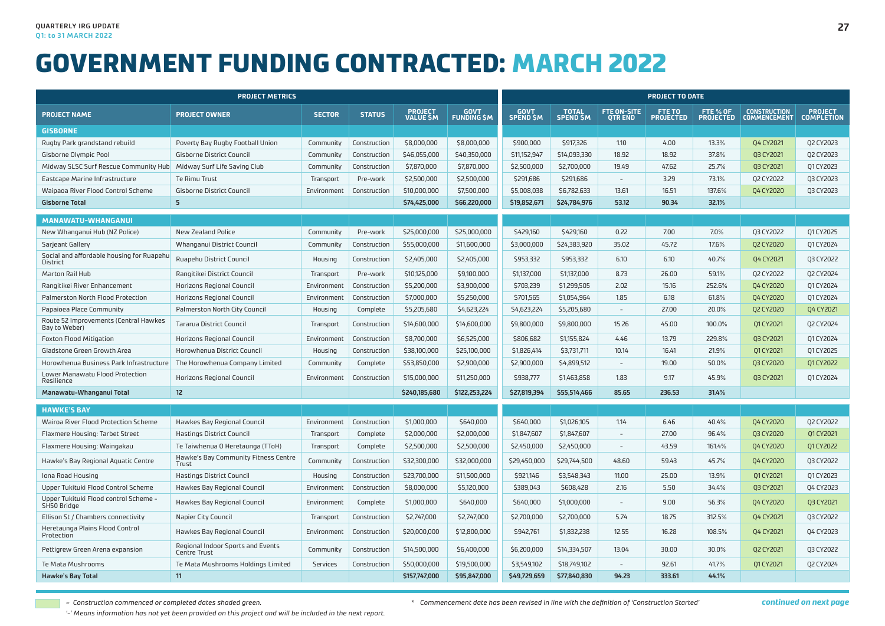|                                                                    | <b>PROJECT METRICS</b>                                   |               |               |                                   |                                   | <b>PROJECT TO DATE</b>         |                                  |                                      |                            |                              |                                            |                                     |  |  |
|--------------------------------------------------------------------|----------------------------------------------------------|---------------|---------------|-----------------------------------|-----------------------------------|--------------------------------|----------------------------------|--------------------------------------|----------------------------|------------------------------|--------------------------------------------|-------------------------------------|--|--|
| <b>PROJECT NAME</b>                                                | <b>PROJECT OWNER</b>                                     | <b>SECTOR</b> | <b>STATUS</b> | <b>PROJECT</b><br><b>VALUE SM</b> | <b>GOVT</b><br><b>FUNDING \$M</b> | <b>GOVT</b><br><b>SPEND SM</b> | <b>TOTAL</b><br><b>SPEND \$M</b> | <b>FTE ON-SITE</b><br><b>OTR END</b> | FTE TO<br><b>PROJECTED</b> | FTE % OF<br><b>PROJECTED</b> | <b>CONSTRUCTION</b><br><b>COMMENCEMENT</b> | <b>PROJECT</b><br><b>COMPLETION</b> |  |  |
| <b>GISBORNE</b>                                                    |                                                          |               |               |                                   |                                   |                                |                                  |                                      |                            |                              |                                            |                                     |  |  |
| Rugby Park grandstand rebuild                                      | Poverty Bay Rugby Football Union                         | Community     | Construction  | \$8,000,000                       | \$8,000,000                       | \$900,000                      | \$917,326                        | 1.10                                 | 4.00                       | 13.3%                        | Q4 CY2021                                  | Q2 CY2023                           |  |  |
| Gisborne Olympic Pool                                              | Gisborne District Council                                | Community     | Construction  | \$46,055,000                      | \$40,350,000                      | \$11,152,947                   | \$14,093,330                     | 18.92                                | 18.92                      | 37.8%                        | <b>Q3 CY2021</b>                           | Q2 CY2023                           |  |  |
| Midway SLSC Surf Rescue Community Hub Midway Surf Life Saving Club |                                                          | Community     | Construction  | \$7,870,000                       | \$7,870,000                       | \$2,500,000                    | \$2,700,000                      | 19.49                                | 47.62                      | 25.7%                        | Q3 CY2021                                  | 01 CY 2023                          |  |  |
| Eastcape Marine Infrastructure                                     | <b>Te Rimu Trust</b>                                     | Transport     | Pre-work      | \$2,500,000                       | \$2,500,000                       | \$291,686                      | \$291,686                        | $\sim$                               | 3.29                       | 73.1%                        | Q2 CY2022                                  | Q3 CY2023                           |  |  |
| Waipaoa River Flood Control Scheme                                 | <b>Gisborne District Council</b>                         | Environment   | Construction  | \$10,000,000                      | \$7,500,000                       | \$5,008,038                    | \$6,782,633                      | 13.61                                | 16.51                      | 137.6%                       | Q4 CY2020                                  | Q3 CY2023                           |  |  |
| <b>Gisborne Total</b>                                              | 5 <sup>2</sup>                                           |               |               | \$74,425,000                      | \$66,220,000                      | \$19,852,671                   | \$24,784,976                     | 53.12                                | 90.34                      | 32.1%                        |                                            |                                     |  |  |
| MANAWATU-WHANGANUI                                                 |                                                          |               |               |                                   |                                   |                                |                                  |                                      |                            |                              |                                            |                                     |  |  |
| New Whanganui Hub (NZ Police)                                      | New Zealand Police                                       | Community     | Pre-work      | \$25,000,000                      | \$25,000,000                      | \$429,160                      | \$429,160                        | 0.22                                 | 7.00                       | 7.0%                         | Q3 CY2022                                  | 01 CY2025                           |  |  |
| Sarjeant Gallery                                                   | Whanganui District Council                               | Community     | Construction  | \$55,000,000                      | \$11,600,000                      | \$3,000,000                    | \$24,383,920                     | 35.02                                | 45.72                      | 17.6%                        | Q2 CY2020                                  | Q1 CY2024                           |  |  |
| Social and affordable housing for Ruapehu<br>District              | Ruapehu District Council                                 | Housing       | Construction  | \$2,405,000                       | \$2,405,000                       | \$953,332                      | \$953,332                        | 6.10                                 | 6.10                       | 40.7%                        | Q4 CY2021                                  | <b>Q3 CY2022</b>                    |  |  |
| Marton Rail Hub                                                    | Rangitikei District Council                              | Transport     | Pre-work      | \$10,125,000                      | \$9,100,000                       | \$1,137,000                    | \$1,137,000                      | 8.73                                 | 26.00                      | 59.1%                        | Q2 CY2022                                  | Q2 CY2024                           |  |  |
| Rangitikei River Enhancement                                       | Horizons Regional Council                                | Environment   | Construction  | \$5,200,000                       | \$3,900,000                       | \$703,239                      | \$1,299,505                      | 2.02                                 | 15.16                      | 252.6%                       | Q4 CY2020                                  | Q1 CY2024                           |  |  |
| Palmerston North Flood Protection                                  | Horizons Regional Council                                | Environment   | Construction  | \$7,000,000                       | \$5,250,000                       | \$701,565                      | \$1,054,964                      | 1.85                                 | 6.18                       | 61.8%                        | 04 CY2020                                  | 01 CY 2024                          |  |  |
| Papaioea Place Community                                           | Palmerston North City Council                            | Housing       | Complete      | \$5,205,680                       | \$4,623,224                       | \$4,623,224                    | \$5,205,680                      | $\overline{\phantom{a}}$             | 27.00                      | 20.0%                        | Q2 CY2020                                  | Q4 CY2021                           |  |  |
| Route 52 Improvements (Central Hawkes<br>Bay to Weber)             | <b>Tararua District Council</b>                          | Transport     | Construction  | \$14,600,000                      | \$14,600,000                      | \$9,800,000                    | \$9,800,000                      | 15.26                                | 45.00                      | 100.0%                       | 01 CY 2021                                 | Q2 CY2024                           |  |  |
| <b>Foxton Flood Mitigation</b>                                     | Horizons Regional Council                                | Environment   | Construction  | \$8,700,000                       | \$6,525,000                       | \$806,682                      | \$1,155,824                      | 4.46                                 | 13.79                      | 229.8%                       | <b>Q3 CY2021</b>                           | 01 CY2024                           |  |  |
| Gladstone Green Growth Area                                        | Horowhenua District Council                              | Housing       | Construction  | \$38,100,000                      | \$25,100,000                      | \$1,826,414                    | \$3,731,711                      | 10.14                                | 16.41                      | 21.9%                        | 01 CY 2021                                 | 01 CY 2025                          |  |  |
| Horowhenua Business Park Infrastructure                            | The Horowhenua Company Limited                           | Community     | Complete      | \$53,850,000                      | \$2,900,000                       | \$2,900,000                    | \$4,899,512                      | $\overline{\phantom{a}}$             | 19.00                      | 50.0%                        | Q3 CY2020                                  | Q1 CY 2022                          |  |  |
| Lower Manawatu Flood Protection<br>Resilience                      | Horizons Regional Council                                | Environment   | Construction  | \$15,000,000                      | \$11,250,000                      | \$938,777                      | \$1,463,858                      | 1.83                                 | 9.17                       | 45.9%                        | 03 CY2021                                  | 01 CY2024                           |  |  |
| Manawatu-Whanganui Total                                           | 12 <sup>2</sup>                                          |               |               | \$240,185,680                     | \$122.253.224                     | \$27,819.394                   | \$55.514.466                     | 85.65                                | 236.53                     | 31.4%                        |                                            |                                     |  |  |
| <b>HAWKE'S BAY</b>                                                 |                                                          |               |               |                                   |                                   |                                |                                  |                                      |                            |                              |                                            |                                     |  |  |
| Wairoa River Flood Protection Scheme                               | Hawkes Bay Regional Council                              | Environment   | Construction  | \$1,000,000                       | \$640,000                         | \$640,000                      | \$1,026,105                      | 1.14                                 | 6.46                       | 40.4%                        | 04 CY2020                                  | 02 CY2022                           |  |  |
| Flaxmere Housing: Tarbet Street                                    | <b>Hastings District Council</b>                         | Transport     | Complete      | \$2,000,000                       | \$2,000,000                       | \$1,847,607                    | \$1,847,607                      | $\overline{\phantom{a}}$             | 27.00                      | 96.4%                        | <b>Q3 CY2020</b>                           | Q1 CY 2021                          |  |  |
| Flaxmere Housing: Waingakau                                        | Te Taiwhenua O Heretaunga (TToH)                         | Transport     | Complete      | \$2,500,000                       | \$2,500,000                       | \$2,450,000                    | \$2,450,000                      | $\sim$                               | 43.59                      | 161.4%                       | 04 CY2020                                  | Q1 CY2022                           |  |  |
| Hawke's Bay Regional Aquatic Centre                                | Hawke's Bay Community Fitness Centre<br>Trust            | Community     | Construction  | \$32,300,000                      | \$32,000,000                      | \$29,450,000                   | \$29,744,500                     | 48.60                                | 59.43                      | 45.7%                        | 04 CY2020                                  | 03 CY2022                           |  |  |
| Iona Road Housing                                                  | <b>Hastings District Council</b>                         | Housing       | Construction  | \$23,700,000                      | \$11,500,000                      | \$921,146                      | \$3,548,343                      | 11.00                                | 25.00                      | 13.9%                        | 01 CY 2021                                 | 01 CY 2023                          |  |  |
| Upper Tukituki Flood Control Scheme                                | Hawkes Bay Regional Council                              | Environment   | Construction  | \$8,000,000                       | \$5,120,000                       | \$389,043                      | \$608,428                        | 2.16                                 | 5.50                       | 34.4%                        | <b>Q3 CY2021</b>                           | Q4 CY2023                           |  |  |
| Upper Tukituki Flood control Scheme -<br>SH50 Bridge               | Hawkes Bay Regional Council                              | Environment   | Complete      | \$1,000,000                       | \$640,000                         | \$640,000                      | \$1,000,000                      |                                      | 9.00                       | 56.3%                        | 04 CY2020                                  | <b>Q3 CY2021</b>                    |  |  |
| Ellison St / Chambers connectivity                                 | Napier City Council                                      | Transport     | Construction  | \$2,747,000                       | \$2,747,000                       | \$2,700,000                    | \$2,700,000                      | 5.74                                 | 18.75                      | 312.5%                       | 04 CY2021                                  | Q3 CY2022                           |  |  |
| Heretaunga Plains Flood Control<br>Protection                      | Hawkes Bay Regional Council                              | Environment   | Construction  | \$20,000,000                      | \$12,800,000                      | \$942,761                      | \$1,832,238                      | 12.55                                | 16.28                      | 108.5%                       | Q4 CY2021                                  | 04 CY2023                           |  |  |
| Pettigrew Green Arena expansion                                    | Regional Indoor Sports and Events<br><b>Centre Trust</b> | Community     | Construction  | \$14,500,000                      | \$6,400,000                       | \$6,200,000                    | \$14,334,507                     | 13.04                                | 30.00                      | 30.0%                        | <b>Q2 CY2021</b>                           | Q3 CY2022                           |  |  |
| Te Mata Mushrooms                                                  | Te Mata Mushrooms Holdings Limited                       | Services      | Construction  | \$50,000,000                      | \$19,500,000                      | \$3,549,102                    | \$18,749,102                     | $\overline{\phantom{a}}$             | 92.61                      | 41.7%                        | 01 CY 2021                                 | Q2 CY2024                           |  |  |
| <b>Hawke's Bay Total</b>                                           | 11                                                       |               |               | \$157,747,000                     | \$95,847,000                      | \$49,729,659                   | \$77,840,830                     | 94.23                                | 333.61                     | 44.1%                        |                                            |                                     |  |  |

*= Construction commenced or completed dates shaded green.*

*<sup>\*</sup> Commencement date has been revised in line with the definition of 'Construction Started'*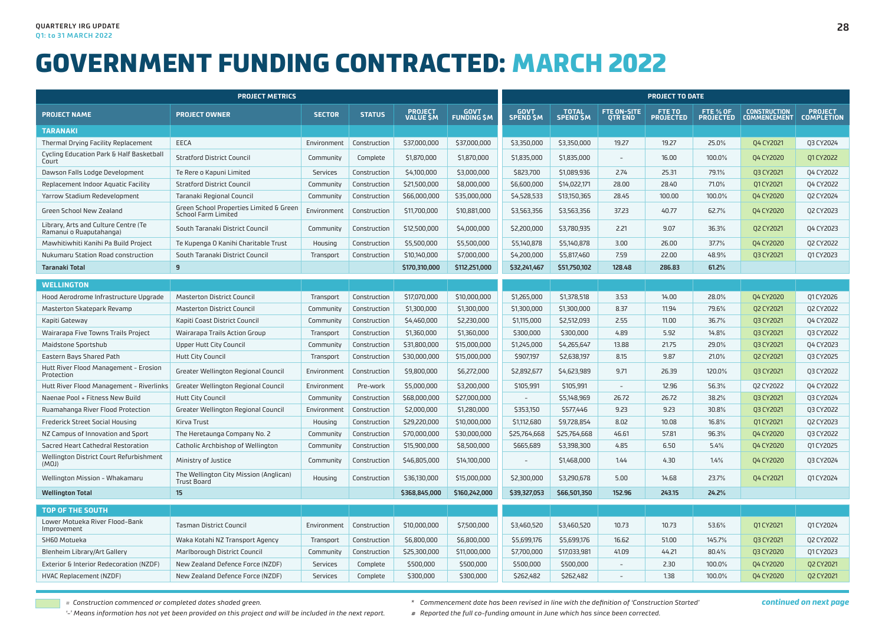|                                                                 | <b>PROJECT METRICS</b>                                         |               |               |                              |                            | <b>PROJECT TO DATE</b> |                                  |                                     |                            |                              |                                            |                                     |  |
|-----------------------------------------------------------------|----------------------------------------------------------------|---------------|---------------|------------------------------|----------------------------|------------------------|----------------------------------|-------------------------------------|----------------------------|------------------------------|--------------------------------------------|-------------------------------------|--|
| <b>PROJECT NAME</b>                                             | <b>PROJECT OWNER</b>                                           | <b>SECTOR</b> | <b>STATUS</b> | <b>PROJECT<br/>VALUE \$M</b> | <b>GOVT</b><br>FUNDING \$M | GOVT<br>SPEND \$M      | <b>TOTAL</b><br><b>SPEND \$M</b> | <b>FTE ON-SITE</b><br><b>QTREND</b> | FTE TO<br><b>PROJECTED</b> | FTE % OF<br><b>PROJECTED</b> | <b>CONSTRUCTION</b><br><b>COMMENCEMENT</b> | <b>PROJECT</b><br><b>COMPLETION</b> |  |
| <b>TARANAKI</b>                                                 |                                                                |               |               |                              |                            |                        |                                  |                                     |                            |                              |                                            |                                     |  |
| Thermal Drying Facility Replacement                             | EECA                                                           | Environment   | Construction  | \$37,000,000                 | \$37,000,000               | \$3,350,000            | \$3,350,000                      | 19.27                               | 19.27                      | 25.0%                        | Q4 CY2021                                  | 03 CY2024                           |  |
| Cycling Education Park & Half Basketball<br>Court               | <b>Stratford District Council</b>                              | Community     | Complete      | \$1,870,000                  | \$1,870,000                | \$1,835,000            | \$1,835,000                      |                                     | 16.00                      | 100.0%                       | 04 CY2020                                  | 01 CY 2022                          |  |
| Dawson Falls Lodge Development                                  | Te Rere o Kapuni Limited                                       | Services      | Construction  | \$4,100,000                  | \$3,000,000                | \$823,700              | \$1,089,936                      | 2.74                                | 25.31                      | 79.1%                        | 03 CY2021                                  | 04 CY2022                           |  |
| Replacement Indoor Aquatic Facility                             | <b>Stratford District Council</b>                              | Community     | Construction  | \$21,500,000                 | \$8,000,000                | \$6,600,000            | \$14,022,171                     | 28.00                               | 28.40                      | 71.0%                        | Q1 CY 2021                                 | 04 CY2022                           |  |
| Yarrow Stadium Redevelopment                                    | Taranaki Regional Council                                      | Community     | Construction  | \$66,000,000                 | \$35,000,000               | \$4,528,533            | \$13,150,365                     | 28.45                               | 100.00                     | 100.0%                       | Q4 CY2020                                  | Q2 CY2024                           |  |
| Green School New Zealand                                        | Green School Properties Limited & Green<br>School Farm Limited | Environment   | Construction  | \$11,700,000                 | \$10,881,000               | \$3,563,356            | \$3,563,356                      | 37.23                               | 40.77                      | 62.7%                        | Q4 CY2020                                  | Q2 CY2023                           |  |
| Library, Arts and Culture Centre (Te<br>Ramanui o Ruaputahanga) | South Taranaki District Council                                | Community     | Construction  | \$12,500,000                 | \$4,000,000                | \$2,200,000            | \$3,780,935                      | 2.21                                | 9.07                       | 36.3%                        | Q2 CY2021                                  | Q4 CY2023                           |  |
| Mawhitiwhiti Kanihi Pa Build Project                            | Te Kupenga O Kanihi Charitable Trust                           | Housing       | Construction  | \$5,500,000                  | \$5,500,000                | \$5,140,878            | \$5,140,878                      | 3.00                                | 26.00                      | 37.7%                        | Q4 CY2020                                  | Q2 CY2022                           |  |
| Nukumaru Station Road construction                              | South Taranaki District Council                                | Transport     | Construction  | \$10,140,000                 | \$7,000,000                | \$4,200,000            | \$5,817,460                      | 7.59                                | 22.00                      | 48.9%                        | Q3 CY2021                                  | 01 CY 2023                          |  |
| 9<br><b>Taranaki Total</b>                                      |                                                                |               |               | \$170,310,000                | \$112,251,000              | \$32,241,467           | \$51,750,102                     | 128.48                              | 286.83                     | 61.2%                        |                                            |                                     |  |
| <b>WELLINGTON</b>                                               |                                                                |               |               |                              |                            |                        |                                  |                                     |                            |                              |                                            |                                     |  |
| Hood Aerodrome Infrastructure Upgrade                           | <b>Masterton District Council</b>                              | Transport     | Construction  | \$17,070,000                 | \$10,000,000               | \$1,265,000            | \$1,378,518                      | 3.53                                | 14.00                      | 28.0%                        | 04 CY2020                                  | 01 CY 2026                          |  |
| Masterton Skatepark Revamp                                      | <b>Masterton District Council</b>                              | Community     | Construction  | \$1,300,000                  | \$1,300,000                | \$1,300,000            | \$1,300,000                      | 8.37                                | 11.94                      | 79.6%                        | Q2 CY2021                                  | Q2 CY2022                           |  |
| Kapiti Gateway                                                  | Kapiti Coast District Council                                  | Community     | Construction  | \$4,460,000                  | \$2,230,000                | \$1,115,000            | \$2,512,093                      | 2.55                                | 11.00                      | 36.7%                        | <b>Q3 CY2021</b>                           | 04 CY2022                           |  |
| Wairarapa Five Towns Trails Project                             | Wairarapa Trails Action Group                                  | Transport     | Construction  | \$1,360,000                  | \$1,360,000                | \$300,000              | \$300,000                        | 4.89                                | 5.92                       | 14.8%                        | Q3 CY2021                                  | Q3 CY2022                           |  |
| Maidstone Sportshub                                             | <b>Upper Hutt City Council</b>                                 | Community     | Construction  | \$31,800,000                 | \$15,000,000               | \$1,245,000            | \$4,265,647                      | 13.88                               | 21.75                      | 29.0%                        | Q3 CY2021                                  | Q4 CY2023                           |  |
| Eastern Bays Shared Path                                        | <b>Hutt City Council</b>                                       | Transport     | Construction  | \$30,000,000                 | \$15,000,000               | \$907,197              | \$2,638,197                      | 8.15                                | 9.87                       | 21.0%                        | Q2 CY2021                                  | Q3 CY2025                           |  |
| Hutt River Flood Management - Erosion<br>Protection             | Greater Wellington Regional Council                            | Environment   | Construction  | \$9,800,000                  | \$6,272,000                | \$2,892,677            | \$4,623,989                      | 9.71                                | 26.39                      | 120.0%                       | 03 CY2021                                  | Q3 CY2022                           |  |
| Hutt River Flood Management - Riverlinks                        | Greater Wellington Regional Council                            | Environment   | Pre-work      | \$5,000,000                  | \$3,200,000                | \$105,991              | \$105,991                        | $\sim$                              | 12.96                      | 56.3%                        | Q2 CY2022                                  | Q4 CY2022                           |  |
| Naenae Pool + Fitness New Build                                 | <b>Hutt City Council</b>                                       | Community     | Construction  | \$68,000,000                 | \$27,000,000               | $\sim$                 | \$5,148,969                      | 26.72                               | 26.72                      | 38.2%                        | Q3 CY2021                                  | Q3 CY2024                           |  |
| Ruamahanga River Flood Protection                               | Greater Wellington Regional Council                            | Environment   | Construction  | \$2,000,000                  | \$1,280,000                | \$353,150              | \$577,446                        | 9.23                                | 9.23                       | 30.8%                        | 03 CY2021                                  | Q3 CY2022                           |  |
| <b>Frederick Street Social Housing</b>                          | Kirva Trust                                                    | Housing       | Construction  | \$29,220,000                 | \$10,000,000               | \$1,112,680            | \$9,728,854                      | 8.02                                | 10.08                      | 16.8%                        | Q1 CY 2021                                 | Q2 CY2023                           |  |
| NZ Campus of Innovation and Sport                               | The Heretaunga Company No. 2                                   | Community     | Construction  | \$70,000,000                 | \$30,000,000               | \$25,764,668           | \$25,764,668                     | 46.61                               | 57.81                      | 96.3%                        | Q4 CY2020                                  | Q3 CY2022                           |  |
| Sacred Heart Cathedral Restoration                              | Catholic Archbishop of Wellington                              | Community     | Construction  | \$15,900,000                 | \$8,500,000                | \$665,689              | \$3,398,300                      | 4.85                                | 6.50                       | 5.4%                         | Q4 CY2020                                  | 01 CY 2025                          |  |
| Wellington District Court Refurbishment<br>(MOJ)                | Ministry of Justice                                            | Community     | Construction  | \$46,805,000                 | \$14,100,000               |                        | \$1,468,000                      | 1.44                                | 4.30                       | 1.4%                         | <b>Q4 CY2020</b>                           | Q3 CY2024                           |  |
| Wellington Mission - Whakamaru                                  | The Wellington City Mission (Anglican)<br>Trust Board          | Housing       | Construction  | \$36,130,000                 | \$15,000,000               | \$2,300,000            | \$3,290,678                      | 5.00                                | 14.68                      | 23.7%                        | 04 CY2021                                  | 01 CY2024                           |  |
| <b>Wellington Total</b>                                         | 15                                                             |               |               | \$368,845,000                | \$160,242,000              | \$39,327,053           | \$66,501,350                     | 152.96                              | 243.15                     | 24.2%                        |                                            |                                     |  |
| TOP OF THE SOUTH                                                |                                                                |               |               |                              |                            |                        |                                  |                                     |                            |                              |                                            |                                     |  |
| Lower Motueka River Flood-Bank<br>Improvement                   | <b>Tasman District Council</b>                                 | Environment   | Construction  | \$10,000,000                 | \$7,500,000                | \$3,460,520            | \$3,460,520                      | 10.73                               | 10.73                      | 53.6%                        | Q1 CY2021                                  | 01 CY 2024                          |  |
| SH60 Motueka                                                    | Waka Kotahi NZ Transport Agency                                | Transport     | Construction  | \$6,800,000                  | \$6,800,000                | \$5,699,176            | \$5,699,176                      | 16.62                               | 51.00                      | 145.7%                       | Q3 CY2021                                  | Q2 CY2022                           |  |
| Blenheim Library/Art Gallery                                    | Marlborough District Council                                   | Community     | Construction  | \$25,300,000                 | \$11,000,000               | \$7,700,000            | \$17,033,981                     | 41.09                               | 44.21                      | 80.4%                        | <b>Q3 CY2020</b>                           | 01 CY 2023                          |  |
| Exterior & Interior Redecoration (NZDF)                         | New Zealand Defence Force (NZDF)                               | Services      | Complete      | \$500,000                    | \$500,000                  | \$500,000              | \$500,000                        | $\overline{\phantom{a}}$            | 2.30                       | 100.0%                       | Q4 CY2020                                  | Q2 CY2021                           |  |
| HVAC Replacement (NZDF)                                         | New Zealand Defence Force (NZDF)                               | Services      | Complete      | \$300,000                    | \$300,000                  | \$262,482              | \$262,482                        |                                     | 1.38                       | 100.0%                       | Q4 CY2020                                  | Q2 CY2021                           |  |

*= Construction commenced or completed dates shaded green.*

*'-' Means information has not yet been provided on this project and will be included in the next report.*

*continued on next page*

*<sup>\*</sup> Commencement date has been revised in line with the definition of 'Construction Started'*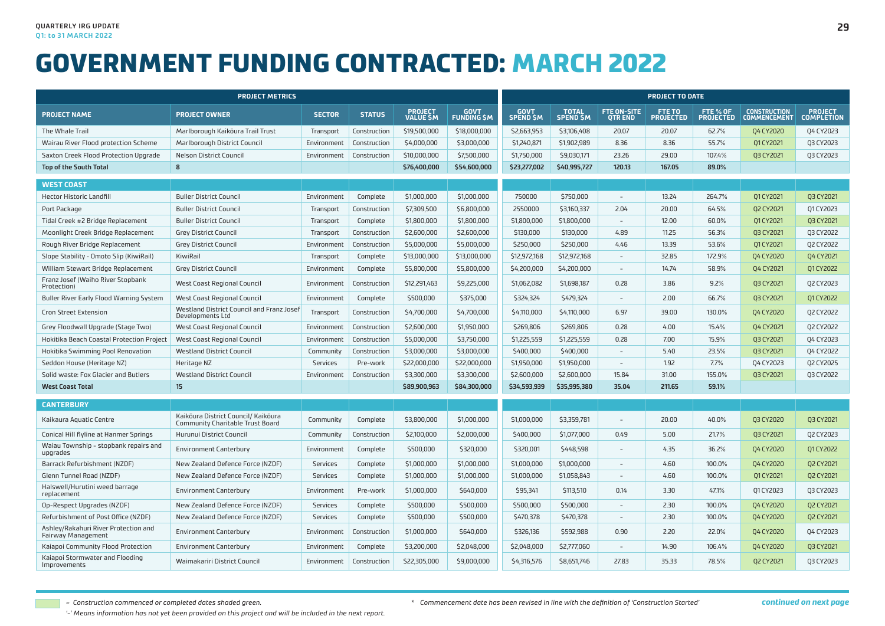|                                                            | <b>PROJECT METRICS</b>                                                  |               |               |                                   |                                   | <b>PROJECT TO DATE</b>         |                                 |                                      |                            |                              |                                            |                                     |  |
|------------------------------------------------------------|-------------------------------------------------------------------------|---------------|---------------|-----------------------------------|-----------------------------------|--------------------------------|---------------------------------|--------------------------------------|----------------------------|------------------------------|--------------------------------------------|-------------------------------------|--|
| <b>PROJECT NAME</b>                                        | <b>PROJECT OWNER</b>                                                    | <b>SECTOR</b> | <b>STATUS</b> | <b>PROJECT</b><br><b>VALUE SM</b> | <b>GOVT</b><br><b>FUNDING \$M</b> | <b>GOVT</b><br><b>SPEND SM</b> | <b>TOTAL</b><br><b>SPEND SM</b> | <b>FTE ON-SITE</b><br><b>QTR END</b> | FTE TO<br><b>PROJECTED</b> | FTE % OF<br><b>PROJECTED</b> | <b>CONSTRUCTION</b><br><b>COMMENCEMENT</b> | <b>PROJECT</b><br><b>COMPLETION</b> |  |
| The Whale Trail                                            | Marlborough Kaikoura Trail Trust                                        | Transport     | Construction  | \$19,500,000                      | \$18,000,000                      | \$2,663,953                    | \$3,106,408                     | 20.07                                | 20.07                      | 62.7%                        | <b>Q4 CY2020</b>                           | 04 CY2023                           |  |
| Wairau River Flood protection Scheme                       | Marlborough District Council                                            | Environment   | Construction  | \$4,000,000                       | \$3,000,000                       | \$1,240,871                    | \$1,902,989                     | 8.36                                 | 8.36                       | 55.7%                        | Q1 CY2021                                  | Q3 CY2023                           |  |
| Saxton Creek Flood Protection Upgrade                      | <b>Nelson District Council</b>                                          | Environment   | Construction  | \$10,000,000                      | \$7,500,000                       | \$1,750,000                    | \$9,030,171                     | 23.26                                | 29.00                      | 107.4%                       | <b>Q3 CY2021</b>                           | Q3 CY2023                           |  |
| Top of the South Total                                     | 8                                                                       |               |               | \$76,400,000                      | \$54,600,000                      | \$23,277,002                   | \$40,995,727                    | 120.13                               | 167.05                     | 89.0%                        |                                            |                                     |  |
| <b>WEST COAST</b>                                          |                                                                         |               |               |                                   |                                   |                                |                                 |                                      |                            |                              |                                            |                                     |  |
| Hector Historic Landfill                                   | <b>Buller District Council</b>                                          | Environment   | Complete      | \$1,000,000                       | \$1,000,000                       | 750000                         | \$750,000                       | $\sim$                               | 13.24                      | 264.7%                       | Q1 CY2021                                  | Q3 CY2021                           |  |
| Port Package                                               | <b>Buller District Council</b>                                          | Transport     | Construction  | \$7,309,500                       | \$6,800,000                       | 2550000                        | \$3,160,337                     | 2.04                                 | 20.00                      | 64.5%                        | Q2 CY2021                                  | 01 CY2023                           |  |
| Tidal Creek #2 Bridge Replacement                          | <b>Buller District Council</b>                                          | Transport     | Complete      | \$1,800,000                       | \$1,800,000                       | \$1,800,000                    | \$1,800,000                     | $\sim$                               | 12.00                      | 60.0%                        | 01 CY 2021                                 | Q3 CY2021                           |  |
| Moonlight Creek Bridge Replacement                         | <b>Grev District Council</b>                                            | Transport     | Construction  | \$2,600,000                       | \$2,600,000                       | \$130,000                      | \$130,000                       | 4.89                                 | 11.25                      | 56.3%                        | 03 CY2021                                  | 03 CY2022                           |  |
| Rough River Bridge Replacement                             | <b>Grey District Council</b>                                            | Environment   | Construction  | \$5,000,000                       | \$5,000,000                       | \$250,000                      | \$250,000                       | 4.46                                 | 13.39                      | 53.6%                        | 01 CY 2021                                 | Q2 CY2022                           |  |
| Slope Stability - Omoto Slip (KiwiRail)                    | KiwiRail                                                                | Transport     | Complete      | \$13,000,000                      | \$13,000,000                      | \$12,972,168                   | \$12,972,168                    | $\overline{a}$                       | 32.85                      | 172.9%                       | Q4 CY2020                                  | Q4 CY2021                           |  |
| William Stewart Bridge Replacement                         | <b>Grey District Council</b>                                            | Environment   | Complete      | \$5,800,000                       | \$5,800,000                       | \$4,200,000                    | \$4,200,000                     | $\sim$                               | 14.74                      | 58.9%                        | <b>Q4 CY2021</b>                           | 01 CY 2022                          |  |
| Franz Josef (Waiho River Stopbank<br>Protection)           | West Coast Regional Council                                             | Environment   | Construction  | \$12,291,463                      | \$9,225,000                       | \$1,062,082                    | \$1,698,187                     | 0.28                                 | 3.86                       | 9.2%                         | Q3 CY2021                                  | Q2 CY2023                           |  |
| <b>Buller River Early Flood Warning System</b>             | West Coast Regional Council                                             | Environment   | Complete      | \$500,000                         | \$375,000                         | \$324,324                      | \$479,324                       | $\overline{a}$                       | 2.00                       | 66.7%                        | Q3 CY2021                                  | 01 CY2022                           |  |
| <b>Cron Street Extension</b>                               | Westland District Council and Franz Josef<br>Developments Ltd           | Transport     | Construction  | \$4,700,000                       | \$4,700,000                       | \$4,110,000                    | \$4,110,000                     | 6.97                                 | 39.00                      | 130.0%                       | Q4 CY2020                                  | Q2 CY2022                           |  |
| Grey Floodwall Upgrade (Stage Two)                         | West Coast Regional Council                                             | Environment   | Construction  | \$2,600,000                       | \$1,950,000                       | \$269,806                      | \$269,806                       | 0.28                                 | 4.00                       | 15.4%                        | Q4 CY2021                                  | Q2 CY2022                           |  |
| Hokitika Beach Coastal Protection Project                  | West Coast Regional Council                                             | Environment   | Construction  | \$5,000,000                       | \$3,750,000                       | \$1,225,559                    | \$1,225,559                     | 0.28                                 | 7.00                       | 15.9%                        | <b>Q3 CY2021</b>                           | 04 CY2023                           |  |
| Hokitika Swimming Pool Renovation                          | <b>Westland District Council</b>                                        | Community     | Construction  | \$3,000,000                       | \$3,000,000                       | \$400,000                      | \$400,000                       | $\overline{\phantom{a}}$             | 5.40                       | 23.5%                        | <b>Q3 CY2021</b>                           | 04 CY2022                           |  |
| Seddon House (Heritage NZ)                                 | Heritage NZ                                                             | Services      | Pre-work      | \$22,000,000                      | \$22,000,000                      | \$1,950,000                    | \$1,950,000                     | $\overline{\phantom{a}}$             | 1.92                       | 7.7%                         | 04 CY2023                                  | 02 CY2025                           |  |
| Solid waste: Fox Glacier and Butlers                       | <b>Westland District Council</b>                                        | Environment   | Construction  | \$3,300,000                       | \$3,300,000                       | \$2,600,000                    | \$2,600,000                     | 15.84                                | 31.00                      | 155.0%                       | <b>Q3 CY2021</b>                           | Q3 CY2022                           |  |
| <b>West Coast Total</b>                                    | 15                                                                      |               |               | \$89,900,963                      | \$84,300,000                      | \$34,593,939                   | \$35,995,380                    | 35.04                                | 211.65                     | 59.1%                        |                                            |                                     |  |
| <b>CANTERBURY</b>                                          |                                                                         |               |               |                                   |                                   |                                |                                 |                                      |                            |                              |                                            |                                     |  |
| Kaikaura Aquatic Centre                                    | Kaikōura District Council/ Kaikōura<br>Community Charitable Trust Board | Community     | Complete      | \$3,800,000                       | \$1,000,000                       | \$1,000,000                    | \$3,359,781                     | $\overline{a}$                       | 20.00                      | 40.0%                        | 03 CY2020                                  | 03 CY2021                           |  |
| Conical Hill flyline at Hanmer Springs                     | Hurunui District Council                                                | Community     | Construction  | \$2,100,000                       | \$2,000,000                       | \$400,000                      | \$1,077,000                     | 0.49                                 | 5.00                       | 21.7%                        | Q3 CY2021                                  | 02 CY2023                           |  |
| Waiau Township - stopbank repairs and<br>upgrades          | <b>Environment Canterbury</b>                                           | Environment   | Complete      | \$500,000                         | \$320,000                         | \$320,001                      | \$448,598                       |                                      | 4.35                       | 36.2%                        | <b>Q4 CY2020</b>                           | 01 CY 2022                          |  |
| Barrack Refurbishment (NZDF)                               | New Zealand Defence Force (NZDF)                                        | Services      | Complete      | \$1,000,000                       | \$1,000,000                       | \$1,000,000                    | \$1,000,000                     | $\qquad \qquad -$                    | 4.60                       | 100.0%                       | Q4 CY2020                                  | Q2 CY2021                           |  |
| Glenn Tunnel Road (NZDF)                                   | New Zealand Defence Force (NZDF)                                        | Services      | Complete      | \$1,000,000                       | \$1,000,000                       | \$1,000,000                    | \$1,058,843                     |                                      | 4.60                       | 100.0%                       | 01 CY 2021                                 | <b>Q2 CY2021</b>                    |  |
| Halswell/Hurutini weed barrage<br>replacement              | <b>Environment Canterbury</b>                                           | Environment   | Pre-work      | \$1,000,000                       | \$640,000                         | \$95,341                       | \$113,510                       | 0.14                                 | 3.30                       | 47.1%                        | 01 CY 2023                                 | Q3 CY2023                           |  |
| Op-Respect Upgrades (NZDF)                                 | New Zealand Defence Force (NZDF)                                        | Services      | Complete      | \$500,000                         | \$500,000                         | \$500,000                      | \$500,000                       |                                      | 2.30                       | 100.0%                       | 04 CY2020                                  | <b>Q2 CY2021</b>                    |  |
| Refurbishment of Post Office (NZDF)                        | New Zealand Defence Force (NZDF)                                        | Services      | Complete      | \$500,000                         | \$500,000                         | \$470,378                      | \$470,378                       | $\overline{\phantom{a}}$             | 2.30                       | 100.0%                       | Q4 CY2020                                  | <b>Q2 CY2021</b>                    |  |
| Ashley/Rakahuri River Protection and<br>Fairway Management | <b>Environment Canterbury</b>                                           | Environment   | Construction  | \$1,000,000                       | \$640,000                         | \$326,136                      | \$592,988                       | 0.90                                 | 2.20                       | 22.0%                        | Q4 CY2020                                  | Q4 CY2023                           |  |
| Kaiapoi Community Flood Protection                         | <b>Environment Canterbury</b>                                           | Environment   | Complete      | \$3,200,000                       | \$2,048,000                       | \$2,048,000                    | \$2,777,060                     | $\sim$                               | 14.90                      | 106.4%                       | Q4 CY2020                                  | <b>Q3 CY2021</b>                    |  |
| Kaiapoi Stormwater and Flooding<br>Improvements            | Waimakariri District Council                                            | Environment   | Construction  | \$22,305,000                      | \$9,000,000                       | \$4,316,576                    | \$8,651,746                     | 27.83                                | 35.33                      | 78.5%                        | <b>Q2 CY2021</b>                           | Q3 CY2023                           |  |

*= Construction commenced or completed dates shaded green. '-' Means information has not yet been provided on this project and will be included in the next report.*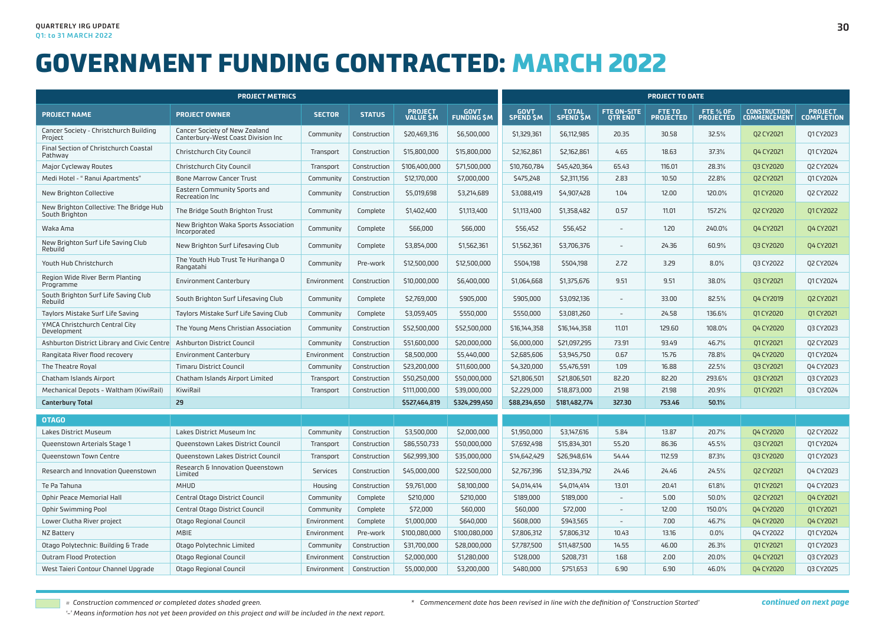|                                                           | <b>PROJECT METRICS</b>                                              |               |               |                                   |                                  |                   |                                 | <b>PROJECT TO DATE</b>              |                            |                       |                                            |                                     |  |  |  |
|-----------------------------------------------------------|---------------------------------------------------------------------|---------------|---------------|-----------------------------------|----------------------------------|-------------------|---------------------------------|-------------------------------------|----------------------------|-----------------------|--------------------------------------------|-------------------------------------|--|--|--|
| <b>PROJECT NAME</b>                                       | <b>PROJECT OWNER</b>                                                | <b>SECTOR</b> | <b>STATUS</b> | <b>PROJECT</b><br><b>VALUE SM</b> | <b>GOVT</b><br><b>FUNDING SM</b> | GOVT<br>SPEND \$M | <b>TOTAL</b><br><b>SPEND SM</b> | <b>FTE ON-SITE</b><br><b>OTREND</b> | FTE TO<br><b>PROJECTED</b> | FTE % OF<br>PROJECTED | <b>CONSTRUCTION</b><br><b>COMMENCEMENT</b> | <b>PROJECT</b><br><b>COMPLETION</b> |  |  |  |
| Cancer Society - Christchurch Building<br>Project         | Cancer Society of New Zealand<br>Canterbury-West Coast Division Inc | Community     | Construction  | \$20,469,316                      | \$6,500,000                      | \$1,329,361       | \$6,112,985                     | 20.35                               | 30.58                      | 32.5%                 | <b>Q2 CY2021</b>                           | 01 CY 2023                          |  |  |  |
| Final Section of Christchurch Coastal<br>Pathway          | Christchurch City Council                                           | Transport     | Construction  | \$15,800,000                      | \$15,800,000                     | \$2,162,861       | \$2,162,861                     | 4.65                                | 18.63                      | 37.3%                 | <b>Q4 CY2021</b>                           | 01 CY2024                           |  |  |  |
| Major Cycleway Routes                                     | Christchurch City Council                                           | Transport     | Construction  | \$106,400,000                     | \$71,500,000                     | \$10,760,784      | \$45,420,364                    | 65.43                               | 116.01                     | 28.3%                 | <b>Q3 CY2020</b>                           | Q2 CY2024                           |  |  |  |
| Medi Hotel - " Ranui Apartments"                          | <b>Bone Marrow Cancer Trust</b>                                     | Community     | Construction  | \$12,170,000                      | \$7,000,000                      | \$475,248         | \$2,311,156                     | 2.83                                | 10.50                      | 22.8%                 | Q2 CY2021                                  | 01 CY 2024                          |  |  |  |
| New Brighton Collective                                   | Eastern Community Sports and<br>Recreation Inc                      | Community     | Construction  | \$5,019,698                       | \$3,214,689                      | \$3,088,419       | \$4,907,428                     | 1.04                                | 12.00                      | 120.0%                | 01 CY 2020                                 | Q2 CY2022                           |  |  |  |
| New Brighton Collective: The Bridge Hub<br>South Brighton | The Bridge South Brighton Trust                                     | Community     | Complete      | \$1,402,400                       | \$1,113,400                      | \$1,113,400       | \$1,358,482                     | 0.57                                | 11.01                      | 157.2%                | Q2 CY2020                                  | 01 CY 2022                          |  |  |  |
| Waka Ama                                                  | New Brighton Waka Sports Association<br>Incorporated                | Community     | Complete      | \$66,000                          | \$66,000                         | \$56,452          | \$56,452                        |                                     | 1.20                       | 240.0%                | Q4 CY2021                                  | <b>Q4 CY2021</b>                    |  |  |  |
| New Brighton Surf Life Saving Club<br>Rebuild             | New Brighton Surf Lifesaving Club                                   | Community     | Complete      | \$3,854,000                       | \$1,562,361                      | \$1,562,361       | \$3,706,376                     |                                     | 24.36                      | 60.9%                 | <b>Q3 CY2020</b>                           | <b>Q4 CY2021</b>                    |  |  |  |
| Youth Hub Christchurch                                    | The Youth Hub Trust Te Hurihanga O<br>Rangatahi                     | Community     | Pre-work      | \$12,500,000                      | \$12,500,000                     | \$504,198         | \$504.198                       | 2.72                                | 3.29                       | 8.0%                  | 03 CY2022                                  | 02 CY2024                           |  |  |  |
| Region Wide River Berm Planting<br>Programme              | <b>Environment Canterbury</b>                                       | Environment   | Construction  | \$10,000,000                      | \$6,400,000                      | \$1,064,668       | \$1,375,676                     | 9.51                                | 9.51                       | 38.0%                 | <b>Q3 CY2021</b>                           | 01 CY 2024                          |  |  |  |
| South Brighton Surf Life Saving Club<br>Rebuild           | South Brighton Surf Lifesaving Club                                 | Community     | Complete      | \$2,769,000                       | \$905,000                        | \$905,000         | \$3,092,136                     |                                     | 33.00                      | 82.5%                 | Q4 CY2019                                  | Q2 CY2021                           |  |  |  |
| Taylors Mistake Surf Life Saving                          | Taylors Mistake Surf Life Saving Club                               | Community     | Complete      | \$3,059,405                       | \$550,000                        | \$550,000         | \$3,081,260                     | $\overline{\phantom{a}}$            | 24.58                      | 136.6%                | Q1 CY2020                                  | Q1 CY2021                           |  |  |  |
| YMCA Christchurch Central City<br>Development             | The Young Mens Christian Association                                | Community     | Construction  | \$52,500,000                      | \$52,500,000                     | \$16,144,358      | \$16,144,358                    | 11.01                               | 129.60                     | 108.0%                | Q4 CY2020                                  | Q3 CY2023                           |  |  |  |
| Ashburton District Library and Civic Centre               | Ashburton District Council                                          | Community     | Construction  | \$51,600,000                      | \$20,000,000                     | \$6,000,000       | \$21,097,295                    | 73.91                               | 93.49                      | 46.7%                 | Q1 CY 2021                                 | Q2 CY2023                           |  |  |  |
| Rangitata River flood recovery                            | Environment Canterbury                                              | Environment   | Construction  | \$8,500,000                       | \$5,440,000                      | \$2,685,606       | \$3,945,750                     | 0.67                                | 15.76                      | 78.8%                 | 04 CY2020                                  | 01 CY2024                           |  |  |  |
| The Theatre Royal                                         | <b>Timaru District Council</b>                                      | Community     | Construction  | \$23,200,000                      | \$11,600,000                     | \$4,320,000       | \$5,476,591                     | 1.09                                | 16.88                      | 22.5%                 | Q3 CY2021                                  | Q4 CY2023                           |  |  |  |
| Chatham Islands Airport                                   | Chatham Islands Airport Limited                                     | Transport     | Construction  | \$50,250,000                      | \$50,000,000                     | \$21,806,501      | \$21,806,501                    | 82.20                               | 82.20                      | 293.6%                | Q3 CY2021                                  | Q3 CY2023                           |  |  |  |
| Mechanical Depots - Waltham (KiwiRail)                    | KiwiRail                                                            | Transport     | Construction  | \$111,000,000                     | \$39,000,000                     | \$2,229,000       | \$18,873,000                    | 21.98                               | 21.98                      | 20.9%                 | 01 CY 2021                                 | 03 CY2024                           |  |  |  |
| <b>Canterbury Total</b>                                   | 29                                                                  |               |               | \$527,464,819                     | \$324,299,450                    | \$88,234,650      | \$181,482,774                   | 327.30                              | 753.46                     | 50.1%                 |                                            |                                     |  |  |  |
| <b>OTAGO</b>                                              |                                                                     |               |               |                                   |                                  |                   |                                 |                                     |                            |                       |                                            |                                     |  |  |  |
| Lakes District Museum                                     | Lakes District Museum Inc                                           | Community     | Construction  | \$3,500,000                       | \$2,000,000                      | \$1,950,000       | \$3,147,616                     | 5.84                                | 13.87                      | 20.7%                 | Q4 CY2020                                  | Q2 CY2022                           |  |  |  |
| Queenstown Arterials Stage 1                              | Queenstown Lakes District Council                                   | Transport     | Construction  | \$86,550,733                      | \$50,000,000                     | \$7,692,498       | \$15,834,301                    | 55.20                               | 86.36                      | 45.5%                 | Q3 CY2021                                  | Q1 CY2024                           |  |  |  |
| Queenstown Town Centre                                    | Queenstown Lakes District Council                                   | Transport     | Construction  | \$62,999,300                      | \$35,000,000                     | \$14,642,429      | \$26,948,614                    | 54.44                               | 112.59                     | 87.3%                 | <b>Q3 CY2020</b>                           | 01 CY 2023                          |  |  |  |
| Research and Innovation Queenstown                        | Research & Innovation Queenstown<br>Limited                         | Services      | Construction  | \$45,000,000                      | \$22,500,000                     | \$2,767,396       | \$12,334,792                    | 24.46                               | 24.46                      | 24.5%                 | Q2 CY2021                                  | 04 CY2023                           |  |  |  |
| Te Pa Tahuna                                              | <b>MHUD</b>                                                         | Housing       | Construction  | \$9,761,000                       | \$8,100,000                      | \$4,014,414       | \$4,014,414                     | 13.01                               | 20.41                      | 61.8%                 | 01 CY 2021                                 | 04 CY2023                           |  |  |  |
| Ophir Peace Memorial Hall                                 | Central Otago District Council                                      | Community     | Complete      | \$210,000                         | \$210,000                        | \$189,000         | \$189,000                       | $\equiv$                            | 5.00                       | 50.0%                 | Q2 CY2021                                  | <b>Q4 CY2021</b>                    |  |  |  |
| <b>Ophir Swimming Pool</b>                                | Central Otago District Council                                      | Community     | Complete      | \$72,000                          | \$60,000                         | \$60,000          | \$72,000                        | $\equiv$                            | 12.00                      | 150.0%                | Q4 CY2020                                  | Q1 CY2021                           |  |  |  |
| Lower Clutha River project                                | Otago Regional Council                                              | Environment   | Complete      | \$1,000,000                       | \$640,000                        | \$608,000         | \$943,565                       |                                     | 7.00                       | 46.7%                 | 04 CY2020                                  | Q4 CY2021                           |  |  |  |
| NZ Battery                                                | <b>MBIE</b>                                                         | Environment   | Pre-work      | \$100,080,000                     | \$100,080,000                    | \$7,806,312       | \$7,806,312                     | 10.43                               | 13.16                      | 0.0%                  | 04 CY2022                                  | Q1 CY2024                           |  |  |  |
| Otago Polytechnic: Building & Trade                       | Otago Polytechnic Limited                                           | Community     | Construction  | \$31,700,000                      | \$28,000,000                     | \$7,787,500       | \$11,487,500                    | 14.55                               | 46.00                      | 26.3%                 | Q1 CY2021                                  | Q1 CY2023                           |  |  |  |
| <b>Outram Flood Protection</b>                            | Otago Regional Council                                              | Environment   | Construction  | \$2,000,000                       | \$1,280,000                      | \$128,000         | \$208,731                       | 1.68                                | 2.00                       | 20.0%                 | <b>Q4 CY2021</b>                           | Q3 CY2023                           |  |  |  |
| West Taieri Contour Channel Upgrade                       | Otago Regional Council                                              | Environment   | Construction  | \$5,000,000                       | \$3,200,000                      | \$480,000         | \$751,653                       | 6.90                                | 6.90                       | 46.0%                 | 04 CY2020                                  | 03 CY2025                           |  |  |  |

*= Construction commenced or completed dates shaded green.*